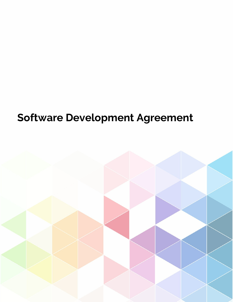# **Software Development Agreement**

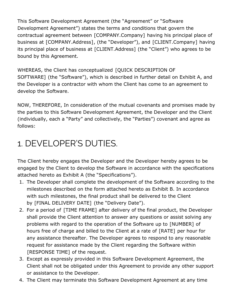This Software Development Agreement (the "Agreement" or "Software Development Agreement") states the terms and conditions that govern the contractual agreement between [COMPANY.Company] having his principal place of business at [COMPANY.Address], (the "Developer"), and [CLIENT.Company] having its principal place of business at [CLIENT.Address] (the "Client") who agrees to be bound by this Agreement.

WHEREAS, the Client has conceptualized [QUICK DESCRIPTION OF SOFTWARE] (the "Software"), which is described in further detail on Exhibit A, and the Developer is a contractor with whom the Client has come to an agreement to develop the Software.

NOW, THEREFORE, In consideration of the mutual covenants and promises made by the parties to this Software Development Agreement, the Developer and the Client (individually, each a "Party" and collectively, the "Parties") covenant and agree as follows:

## 1. DEVELOPER'S DUTIES.

The Client hereby engages the Developer and the Developer hereby agrees to be engaged by the Client to develop the Software in accordance with the specifications attached hereto as Exhibit A (the "Specifications").

- 1. The Developer shall complete the development of the Software according to the milestones described on the form attached hereto as Exhibit B. In accordance with such milestones, the final product shall be delivered to the Client by [FINAL DELIVERY DATE] (the "Delivery Date").
- 2. For a period of [TIME FRAME] after delivery of the final product, the Developer shall provide the Client attention to answer any questions or assist solving any problems with regard to the operation of the Software up to [NUMBER] of hours free of charge and billed to the Client at a rate of [RATE] per hour for any assistance thereafter. The Developer agrees to respond to any reasonable request for assistance made by the Client regarding the Software within [RESPONSE TIME] of the request.
- 3. Except as expressly provided in this Software Development Agreement, the Client shall not be obligated under this Agreement to provide any other support or assistance to the Developer.
- 4. The Client may terminate this Software Development Agreement at any time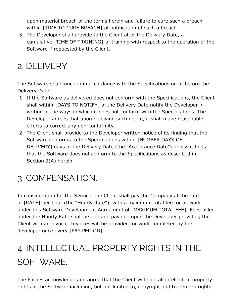upon material breach of the terms herein and failure to cure such a breach within [TIME TO CURE BREACH] of notification of such a breach.

5. The Developer shall provide to the Client after the Delivery Date, a cumulative [TIME OF TRAINING] of training with respect to the operation of the Software if requested by the Client.

#### 2. DELIVERY.

The Software shall function in accordance with the Specifications on or before the Delivery Date.

- 1. If the Software as delivered does not conform with the Specifications, the Client shall within [DAYS TO NOTIFY] of the Delivery Date notify the Developer in writing of the ways in which it does not conform with the Specifications. The Developer agrees that upon receiving such notice, it shall make reasonable efforts to correct any non-conformity.
- 2. The Client shall provide to the Developer written notice of its finding that the Software conforms to the Specifications within [NUMBER DAYS OF DELIVERY] days of the Delivery Date (the "Acceptance Date") unless it finds that the Software does not conform to the Specifications as described in Section 2(A) herein.

## 3. COMPENSATION.

In consideration for the Service, the Client shall pay the Company at the rate of [RATE] per hour (the "Hourly Rate"), with a maximum total fee for all work under this Software Development Agreement of [MAXIMUM TOTAL FEE] . Fees billed under the Hourly Rate shall be due and payable upon the Developer providing the Client with an invoice. Invoices will be provided for work completed by the developer once every [PAY PERIOD] .

## 4. INTELLECTUAL PROPERTY RIGHTS IN THE SOFTWARE.

The Parties acknowledge and agree that the Client will hold all intellectual property rights in the Software including, but not limited to, copyright and trademark rights.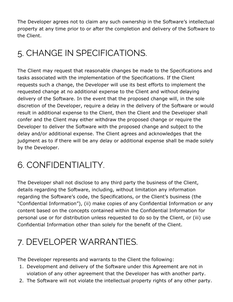The Developer agrees not to claim any such ownership in the Software's intellectual property at any time prior to or after the completion and delivery of the Software to the Client.

## 5. CHANGE IN SPECIFICATIONS.

The Client may request that reasonable changes be made to the Specifications and tasks associated with the implementation of the Specifications. If the Client requests such a change, the Developer will use its best efforts to implement the requested change at no additional expense to the Client and without delaying delivery of the Software. In the event that the proposed change will, in the sole discretion of the Developer, require a delay in the delivery of the Software or would result in additional expense to the Client, then the Client and the Developer shall confer and the Client may either withdraw the proposed change or require the Developer to deliver the Software with the proposed change and subject to the delay and/or additional expense. The Client agrees and acknowledges that the judgment as to if there will be any delay or additional expense shall be made solely by the Developer.

#### 6. CONFIDENTIALITY.

The Developer shall not disclose to any third party the business of the Client, details regarding the Software, including, without limitation any information regarding the Software's code, the Specifications, or the Client's business (the "Confidential Information"), (ii) make copies of any Confidential Information or any content based on the concepts contained within the Confidential Information for personal use or for distribution unless requested to do so by the Client, or (iii) use Confidential Information other than solely for the benefit of the Client.

### 7. DEVELOPER WARRANTIES.

The Developer represents and warrants to the Client the following:

- 1. Development and delivery of the Software under this Agreement are not in violation of any other agreement that the Developer has with another party.
- 2. The Software will not violate the intellectual property rights of any other party.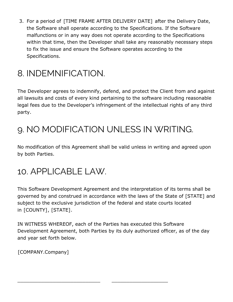3. For a period of [TIME FRAME AFTER DELIVERY DATE] after the Delivery Date, the Software shall operate according to the Specifications. If the Software malfunctions or in any way does not operate according to the Specifications within that time, then the Developer shall take any reasonably necessary steps to fix the issue and ensure the Software operates according to the Specifications.

#### 8. INDEMNIFICATION.

The Developer agrees to indemnify, defend, and protect the Client from and against all lawsuits and costs of every kind pertaining to the software including reasonable legal fees due to the Developer's infringement of the intellectual rights of any third party.

#### 9. NO MODIFICATION UNLESS IN WRITING.

No modification of this Agreement shall be valid unless in writing and agreed upon by both Parties.

#### 10. APPLICABLE LAW.

This Software Development Agreement and the interpretation of its terms shall be governed by and construed in accordance with the laws of the State of [STATE] and subject to the exclusive jurisdiction of the federal and state courts located in [COUNTY], [STATE].

IN WITNESS WHEREOF, each of the Parties has executed this Software Development Agreement, both Parties by its duly authorized officer, as of the day and year set forth below.

\_\_\_\_\_\_\_\_\_\_\_\_\_\_\_\_\_\_\_\_\_\_\_\_\_\_\_\_ \_\_\_\_\_\_\_\_\_\_\_\_\_\_\_\_\_\_\_

[COMPANY.Company]